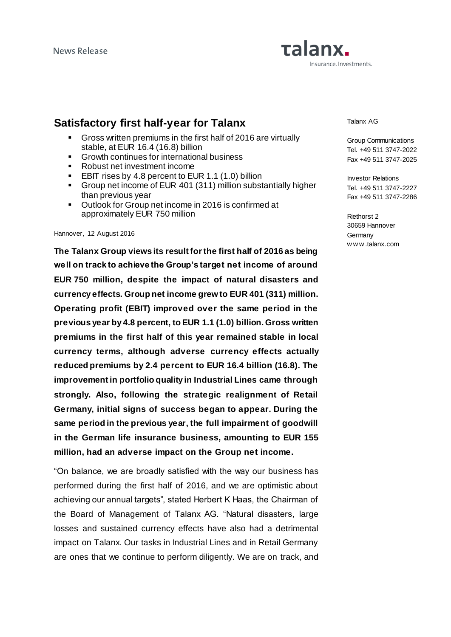# Talanx. nsurance. Investments.

## **Satisfactory first half-year for Talanx**

- Gross written premiums in the first half of 2016 are virtually stable, at EUR 16.4 (16.8) billion
- Growth continues for international business
- Robust net investment income
- **EBIT rises by 4.8 percent to EUR 1.1 (1.0) billion**
- Group net income of EUR 401 (311) million substantially higher than previous year
- Outlook for Group net income in 2016 is confirmed at approximately EUR 750 million

#### Hannover, 12 August 2016

**The Talanx Group views its result for the first half of 2016 as being well on track to achieve the Group's target net income of around EUR 750 million, despite the impact of natural disasters and currency effects. Group net income grew to EUR 401 (311) million. Operating profit (EBIT) improved over the same period in the previous year by 4.8 percent, to EUR 1.1 (1.0) billion. Gross written premiums in the first half of this year remained stable in local currency terms, although adverse currency effects actually reduced premiums by 2.4 percent to EUR 16.4 billion (16.8). The improvement in portfolio quality in Industrial Lines came through strongly. Also, following the strategic realignment of Retail Germany, initial signs of success began to appear. During the same period in the previous year, the full impairment of goodwill in the German life insurance business, amounting to EUR 155 million, had an adverse impact on the Group net income.** 

"On balance, we are broadly satisfied with the way our business has performed during the first half of 2016, and we are optimistic about achieving our annual targets", stated Herbert K Haas, the Chairman of the Board of Management of Talanx AG. "Natural disasters, large losses and sustained currency effects have also had a detrimental impact on Talanx. Our tasks in Industrial Lines and in Retail Germany are ones that we continue to perform diligently. We are on track, and Talanx AG

Group Communications Tel. +49 511 3747-2022 Fax +49 511 3747-2025

Investor Relations Tel. +49 511 3747-2227 Fax +49 511 3747-2286

Riethorst 2 30659 Hannover **Germany** w w w .talanx.com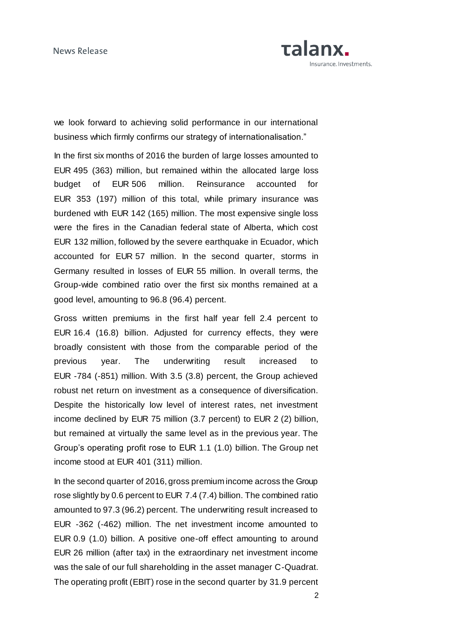

we look forward to achieving solid performance in our international business which firmly confirms our strategy of internationalisation."

In the first six months of 2016 the burden of large losses amounted to EUR 495 (363) million, but remained within the allocated large loss budget of EUR 506 million. Reinsurance accounted for EUR 353 (197) million of this total, while primary insurance was burdened with EUR 142 (165) million. The most expensive single loss were the fires in the Canadian federal state of Alberta, which cost EUR 132 million, followed by the severe earthquake in Ecuador, which accounted for EUR 57 million. In the second quarter, storms in Germany resulted in losses of EUR 55 million. In overall terms, the Group-wide combined ratio over the first six months remained at a good level, amounting to 96.8 (96.4) percent.

Gross written premiums in the first half year fell 2.4 percent to EUR 16.4 (16.8) billion. Adjusted for currency effects, they were broadly consistent with those from the comparable period of the previous year. The underwriting result increased to EUR -784 (-851) million. With 3.5 (3.8) percent, the Group achieved robust net return on investment as a consequence of diversification. Despite the historically low level of interest rates, net investment income declined by EUR 75 million (3.7 percent) to EUR 2 (2) billion, but remained at virtually the same level as in the previous year. The Group's operating profit rose to EUR 1.1 (1.0) billion. The Group net income stood at EUR 401 (311) million.

In the second quarter of 2016, gross premium income across the Group rose slightly by 0.6 percent to EUR 7.4 (7.4) billion. The combined ratio amounted to 97.3 (96.2) percent. The underwriting result increased to EUR -362 (-462) million. The net investment income amounted to EUR 0.9 (1.0) billion. A positive one-off effect amounting to around EUR 26 million (after tax) in the extraordinary net investment income was the sale of our full shareholding in the asset manager C-Quadrat. The operating profit (EBIT) rose in the second quarter by 31.9 percent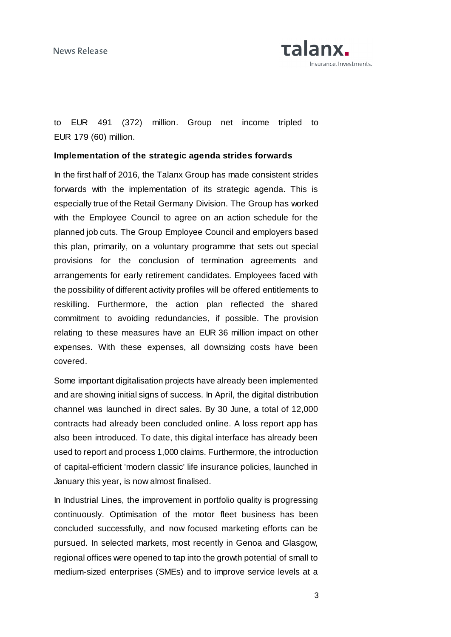

to EUR 491 (372) million. Group net income tripled to EUR 179 (60) million.

## **Implementation of the strategic agenda strides forwards**

In the first half of 2016, the Talanx Group has made consistent strides forwards with the implementation of its strategic agenda. This is especially true of the Retail Germany Division. The Group has worked with the Employee Council to agree on an action schedule for the planned job cuts. The Group Employee Council and employers based this plan, primarily, on a voluntary programme that sets out special provisions for the conclusion of termination agreements and arrangements for early retirement candidates. Employees faced with the possibility of different activity profiles will be offered entitlements to reskilling. Furthermore, the action plan reflected the shared commitment to avoiding redundancies, if possible. The provision relating to these measures have an EUR 36 million impact on other expenses. With these expenses, all downsizing costs have been covered.

Some important digitalisation projects have already been implemented and are showing initial signs of success. In April, the digital distribution channel was launched in direct sales. By 30 June, a total of 12,000 contracts had already been concluded online. A loss report app has also been introduced. To date, this digital interface has already been used to report and process 1,000 claims. Furthermore, the introduction of capital-efficient 'modern classic' life insurance policies, launched in January this year, is now almost finalised.

In Industrial Lines, the improvement in portfolio quality is progressing continuously. Optimisation of the motor fleet business has been concluded successfully, and now focused marketing efforts can be pursued. In selected markets, most recently in Genoa and Glasgow, regional offices were opened to tap into the growth potential of small to medium-sized enterprises (SMEs) and to improve service levels at a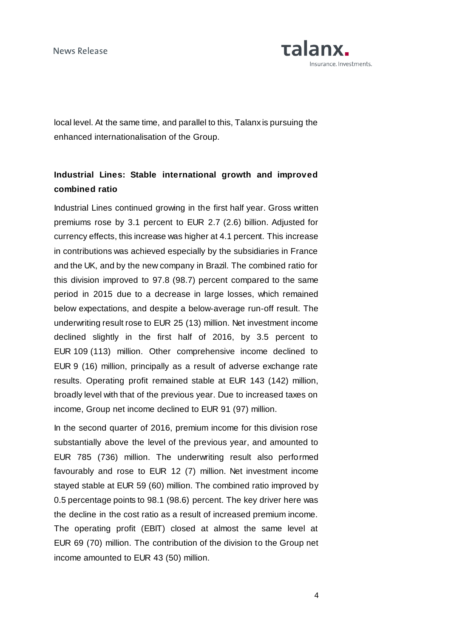News Release



local level. At the same time, and parallel to this, Talanx is pursuing the enhanced internationalisation of the Group.

## **Industrial Lines: Stable international growth and improved combined ratio**

Industrial Lines continued growing in the first half year. Gross written premiums rose by 3.1 percent to EUR 2.7 (2.6) billion. Adjusted for currency effects, this increase was higher at 4.1 percent. This increase in contributions was achieved especially by the subsidiaries in France and the UK, and by the new company in Brazil. The combined ratio for this division improved to 97.8 (98.7) percent compared to the same period in 2015 due to a decrease in large losses, which remained below expectations, and despite a below-average run-off result. The underwriting result rose to EUR 25 (13) million. Net investment income declined slightly in the first half of 2016, by 3.5 percent to EUR 109 (113) million. Other comprehensive income declined to EUR 9 (16) million, principally as a result of adverse exchange rate results. Operating profit remained stable at EUR 143 (142) million, broadly level with that of the previous year. Due to increased taxes on income, Group net income declined to EUR 91 (97) million.

In the second quarter of 2016, premium income for this division rose substantially above the level of the previous year, and amounted to EUR 785 (736) million. The underwriting result also performed favourably and rose to EUR 12 (7) million. Net investment income stayed stable at EUR 59 (60) million. The combined ratio improved by 0.5 percentage points to 98.1 (98.6) percent. The key driver here was the decline in the cost ratio as a result of increased premium income. The operating profit (EBIT) closed at almost the same level at EUR 69 (70) million. The contribution of the division to the Group net income amounted to EUR 43 (50) million.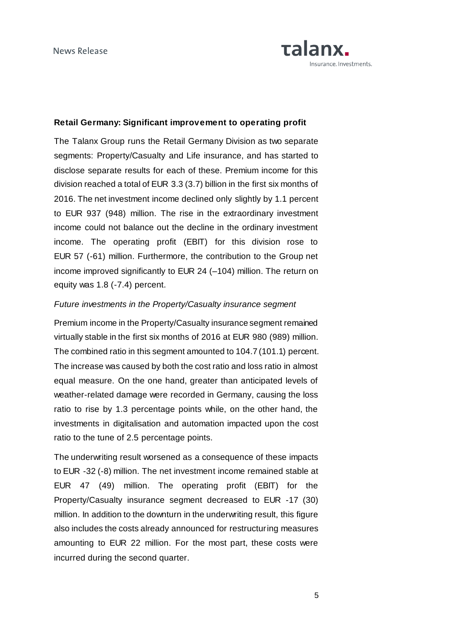

## **Retail Germany: Significant improvement to operating profit**

The Talanx Group runs the Retail Germany Division as two separate segments: Property/Casualty and Life insurance, and has started to disclose separate results for each of these. Premium income for this division reached a total of EUR 3.3 (3.7) billion in the first six months of 2016. The net investment income declined only slightly by 1.1 percent to EUR 937 (948) million. The rise in the extraordinary investment income could not balance out the decline in the ordinary investment income. The operating profit (EBIT) for this division rose to EUR 57 (-61) million. Furthermore, the contribution to the Group net income improved significantly to EUR 24 (–104) million. The return on equity was 1.8 (-7.4) percent.

### *Future investments in the Property/Casualty insurance segment*

Premium income in the Property/Casualty insurance segment remained virtually stable in the first six months of 2016 at EUR 980 (989) million. The combined ratio in this segment amounted to 104.7 (101.1) percent. The increase was caused by both the cost ratio and loss ratio in almost equal measure. On the one hand, greater than anticipated levels of weather-related damage were recorded in Germany, causing the loss ratio to rise by 1.3 percentage points while, on the other hand, the investments in digitalisation and automation impacted upon the cost ratio to the tune of 2.5 percentage points.

The underwriting result worsened as a consequence of these impacts to EUR -32 (-8) million. The net investment income remained stable at EUR 47 (49) million. The operating profit (EBIT) for the Property/Casualty insurance segment decreased to EUR -17 (30) million. In addition to the downturn in the underwriting result, this figure also includes the costs already announced for restructuring measures amounting to EUR 22 million. For the most part, these costs were incurred during the second quarter.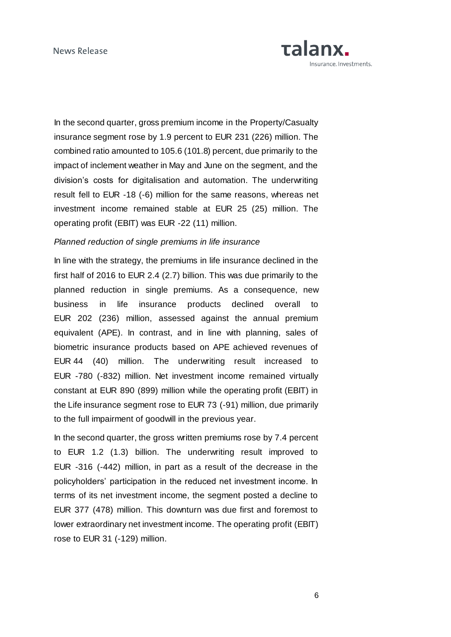

In the second quarter, gross premium income in the Property/Casualty insurance segment rose by 1.9 percent to EUR 231 (226) million. The combined ratio amounted to 105.6 (101.8) percent, due primarily to the impact of inclement weather in May and June on the segment, and the division's costs for digitalisation and automation. The underwriting result fell to EUR -18 (-6) million for the same reasons, whereas net investment income remained stable at EUR 25 (25) million. The operating profit (EBIT) was EUR -22 (11) million.

### *Planned reduction of single premiums in life insurance*

In line with the strategy, the premiums in life insurance declined in the first half of 2016 to EUR 2.4 (2.7) billion. This was due primarily to the planned reduction in single premiums. As a consequence, new business in life insurance products declined overall to EUR 202 (236) million, assessed against the annual premium equivalent (APE). In contrast, and in line with planning, sales of biometric insurance products based on APE achieved revenues of EUR 44 (40) million. The underwriting result increased to EUR -780 (-832) million. Net investment income remained virtually constant at EUR 890 (899) million while the operating profit (EBIT) in the Life insurance segment rose to EUR 73 (-91) million, due primarily to the full impairment of goodwill in the previous year.

In the second quarter, the gross written premiums rose by 7.4 percent to EUR 1.2 (1.3) billion. The underwriting result improved to EUR -316 (-442) million, in part as a result of the decrease in the policyholders' participation in the reduced net investment income. In terms of its net investment income, the segment posted a decline to EUR 377 (478) million. This downturn was due first and foremost to lower extraordinary net investment income. The operating profit (EBIT) rose to EUR 31 (-129) million.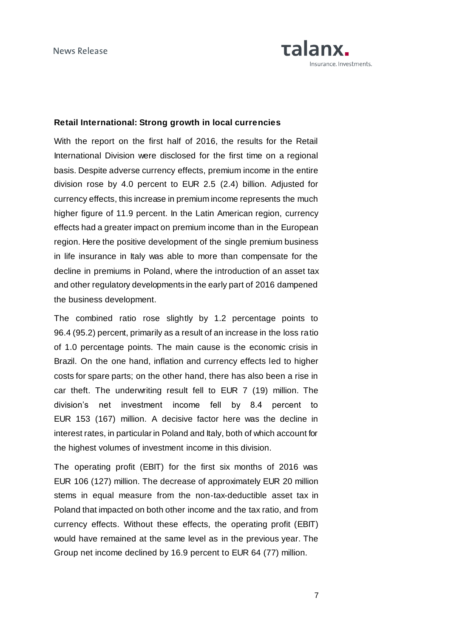

### **Retail International: Strong growth in local currencies**

With the report on the first half of 2016, the results for the Retail International Division were disclosed for the first time on a regional basis. Despite adverse currency effects, premium income in the entire division rose by 4.0 percent to EUR 2.5 (2.4) billion. Adjusted for currency effects, this increase in premium income represents the much higher figure of 11.9 percent. In the Latin American region, currency effects had a greater impact on premium income than in the European region. Here the positive development of the single premium business in life insurance in Italy was able to more than compensate for the decline in premiums in Poland, where the introduction of an asset tax and other regulatory developments in the early part of 2016 dampened the business development.

The combined ratio rose slightly by 1.2 percentage points to 96.4 (95.2) percent, primarily as a result of an increase in the loss ratio of 1.0 percentage points. The main cause is the economic crisis in Brazil. On the one hand, inflation and currency effects led to higher costs for spare parts; on the other hand, there has also been a rise in car theft. The underwriting result fell to EUR 7 (19) million. The division's net investment income fell by 8.4 percent to EUR 153 (167) million. A decisive factor here was the decline in interest rates, in particular in Poland and Italy, both of which account for the highest volumes of investment income in this division.

The operating profit (EBIT) for the first six months of 2016 was EUR 106 (127) million. The decrease of approximately EUR 20 million stems in equal measure from the non-tax-deductible asset tax in Poland that impacted on both other income and the tax ratio, and from currency effects. Without these effects, the operating profit (EBIT) would have remained at the same level as in the previous year. The Group net income declined by 16.9 percent to EUR 64 (77) million.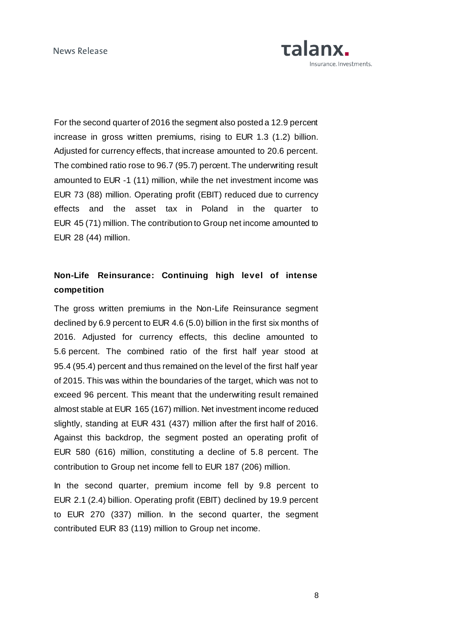

For the second quarter of 2016 the segment also posted a 12.9 percent increase in gross written premiums, rising to EUR 1.3 (1.2) billion. Adjusted for currency effects, that increase amounted to 20.6 percent. The combined ratio rose to 96.7 (95.7) percent. The underwriting result amounted to EUR -1 (11) million, while the net investment income was EUR 73 (88) million. Operating profit (EBIT) reduced due to currency effects and the asset tax in Poland in the quarter to EUR 45 (71) million. The contribution to Group net income amounted to EUR 28 (44) million.

## **Non-Life Reinsurance: Continuing high level of intense competition**

The gross written premiums in the Non-Life Reinsurance segment declined by 6.9 percent to EUR 4.6 (5.0) billion in the first six months of 2016. Adjusted for currency effects, this decline amounted to 5.6 percent. The combined ratio of the first half year stood at 95.4 (95.4) percent and thus remained on the level of the first half year of 2015. This was within the boundaries of the target, which was not to exceed 96 percent. This meant that the underwriting result remained almost stable at EUR 165 (167) million. Net investment income reduced slightly, standing at EUR 431 (437) million after the first half of 2016. Against this backdrop, the segment posted an operating profit of EUR 580 (616) million, constituting a decline of 5.8 percent. The contribution to Group net income fell to EUR 187 (206) million.

In the second quarter, premium income fell by 9.8 percent to EUR 2.1 (2.4) billion. Operating profit (EBIT) declined by 19.9 percent to EUR 270 (337) million. In the second quarter, the segment contributed EUR 83 (119) million to Group net income.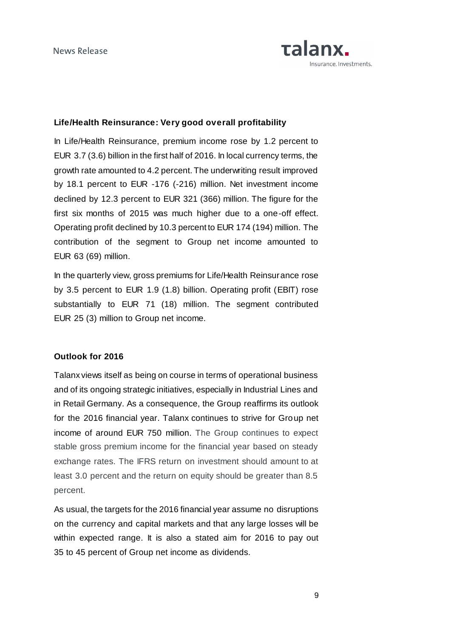

## **Life/Health Reinsurance: Very good overall profitability**

In Life/Health Reinsurance, premium income rose by 1.2 percent to EUR 3.7 (3.6) billion in the first half of 2016. In local currency terms, the growth rate amounted to 4.2 percent. The underwriting result improved by 18.1 percent to EUR -176 (-216) million. Net investment income declined by 12.3 percent to EUR 321 (366) million. The figure for the first six months of 2015 was much higher due to a one-off effect. Operating profit declined by 10.3 percent to EUR 174 (194) million. The contribution of the segment to Group net income amounted to EUR 63 (69) million.

In the quarterly view, gross premiums for Life/Health Reinsurance rose by 3.5 percent to EUR 1.9 (1.8) billion. Operating profit (EBIT) rose substantially to EUR 71 (18) million. The segment contributed EUR 25 (3) million to Group net income.

### **Outlook for 2016**

Talanx views itself as being on course in terms of operational business and of its ongoing strategic initiatives, especially in Industrial Lines and in Retail Germany. As a consequence, the Group reaffirms its outlook for the 2016 financial year. Talanx continues to strive for Group net income of around EUR 750 million. The Group continues to expect stable gross premium income for the financial year based on steady exchange rates. The IFRS return on investment should amount to at least 3.0 percent and the return on equity should be greater than 8.5 percent.

As usual, the targets for the 2016 financial year assume no disruptions on the currency and capital markets and that any large losses will be within expected range. It is also a stated aim for 2016 to pay out 35 to 45 percent of Group net income as dividends.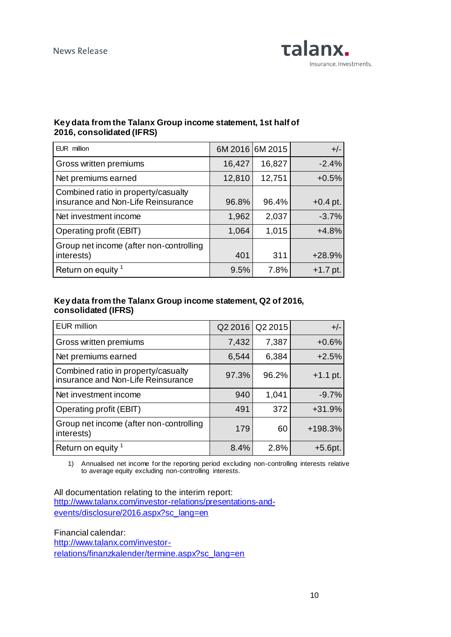

## **Key data from the Talanx Group income statement, 1st half of 2016, consolidated (IFRS)**

| EUR million                                                               | 6M 2016 6M 2015 |        | $+/-$      |
|---------------------------------------------------------------------------|-----------------|--------|------------|
| Gross written premiums                                                    | 16,427          | 16,827 | $-2.4%$    |
| Net premiums earned                                                       | 12,810          | 12,751 | $+0.5%$    |
| Combined ratio in property/casualty<br>insurance and Non-Life Reinsurance | 96.8%           | 96.4%  | $+0.4$ pt. |
| Net investment income                                                     | 1,962           | 2,037  | $-3.7%$    |
| Operating profit (EBIT)                                                   | 1,064           | 1,015  | $+4.8%$    |
| Group net income (after non-controlling<br>interests)                     | 401             | 311    | $+28.9%$   |
| Return on equity <sup>1</sup>                                             | 9.5%            | 7.8%   | $+1.7$ pt. |

## **Key data from the Talanx Group income statement, Q2 of 2016, consolidated (IFRS)**

| <b>EUR million</b>                                                        | Q2 2016 | Q2 2015 | $+/-$      |
|---------------------------------------------------------------------------|---------|---------|------------|
| Gross written premiums                                                    | 7,432   | 7,387   | $+0.6%$    |
| Net premiums earned                                                       | 6,544   | 6,384   | $+2.5%$    |
| Combined ratio in property/casualty<br>insurance and Non-Life Reinsurance | 97.3%   | 96.2%   | $+1.1$ pt. |
| Net investment income                                                     | 940     | 1,041   | $-9.7%$    |
| Operating profit (EBIT)                                                   | 491     | 372     | $+31.9%$   |
| Group net income (after non-controlling<br>interests)                     | 179     | 60      | +198.3%    |
| Return on equity <sup>1</sup>                                             | 8.4%    | 2.8%    | $+5.6$ pt. |

1) Annualised net income for the reporting period excluding non-controlling interests relative to average equity excluding non-controlling interests.

All documentation relating to the interim report: [http://www.talanx.com/investor-relations/presentations-and](http://www.talanx.com/investor-relations/presentations-and-events/disclosure/2016.aspx?sc_lang=en)[events/disclosure/2016.aspx?sc\\_lang=en](http://www.talanx.com/investor-relations/presentations-and-events/disclosure/2016.aspx?sc_lang=en)

Financial calendar: [http://www.talanx.com/investor](http://www.talanx.com/investor-relations/finanzkalender/termine.aspx?sc_lang=en)[relations/finanzkalender/termine.aspx?sc\\_lang=en](http://www.talanx.com/investor-relations/finanzkalender/termine.aspx?sc_lang=en)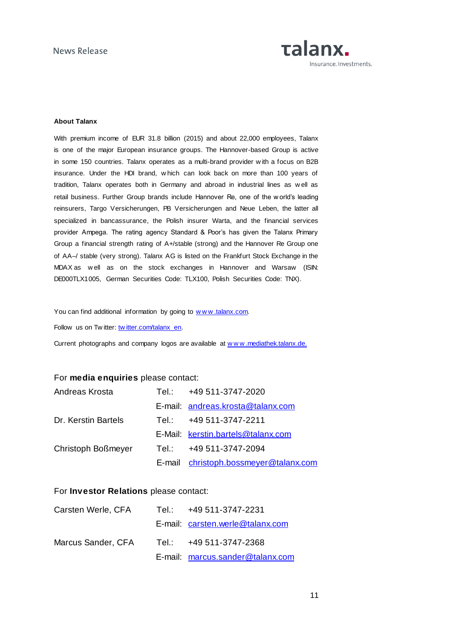

#### **About Talanx**

With premium income of EUR 31.8 billion (2015) and about 22,000 employees, Talanx is one of the major European insurance groups. The Hannover-based Group is active in some 150 countries. Talanx operates as a multi-brand provider w ith a focus on B2B insurance. Under the HDI brand, w hich can look back on more than 100 years of tradition, Talanx operates both in Germany and abroad in industrial lines as w ell as retail business. Further Group brands include Hannover Re, one of the w orld's leading reinsurers, Targo Versicherungen, PB Versicherungen and Neue Leben, the latter all specialized in bancassurance, the Polish insurer Warta, and the financial services provider Ampega. The rating agency Standard & Poor's has given the Talanx Primary Group a financial strength rating of A+/stable (strong) and the Hannover Re Group one of AA–/ stable (very strong). Talanx AG is listed on the Frankfurt Stock Exchange in the MDAX as w ell as on the stock exchanges in Hannover and Warsaw (ISIN: DE000TLX1005, German Securities Code: TLX100, Polish Securities Code: TNX).

You can find additional information by going to www.talanx.com.

Follow us on Tw itter: [tw itter.com/talanx\\_en.](https://twitter.com/talanx_en)

Current photographs and company logos are available at www.mediathek.talanx.de.

### For **media enquiries** please contact:

| Andreas Krosta      | Tel.: +49 511-3747-2020               |
|---------------------|---------------------------------------|
|                     | E-mail: andreas.krosta@talanx.com     |
| Dr. Kerstin Bartels | Tel.: $+49.511 - 3747 - 2211$         |
|                     | E-Mail: kerstin.bartels@talanx.com    |
| Christoph Boßmeyer  | Tel.: +49 511-3747-2094               |
|                     | E-mail christoph.bossmeyer@talanx.com |

### For **Investor Relations** please contact:

| Carsten Werle, CFA | Tel.: +49 511-3747-2231          |
|--------------------|----------------------------------|
|                    | E-mail: carsten.werle@talanx.com |
| Marcus Sander, CFA | Tel.: +49 511-3747-2368          |
|                    | E-mail: marcus.sander@talanx.com |